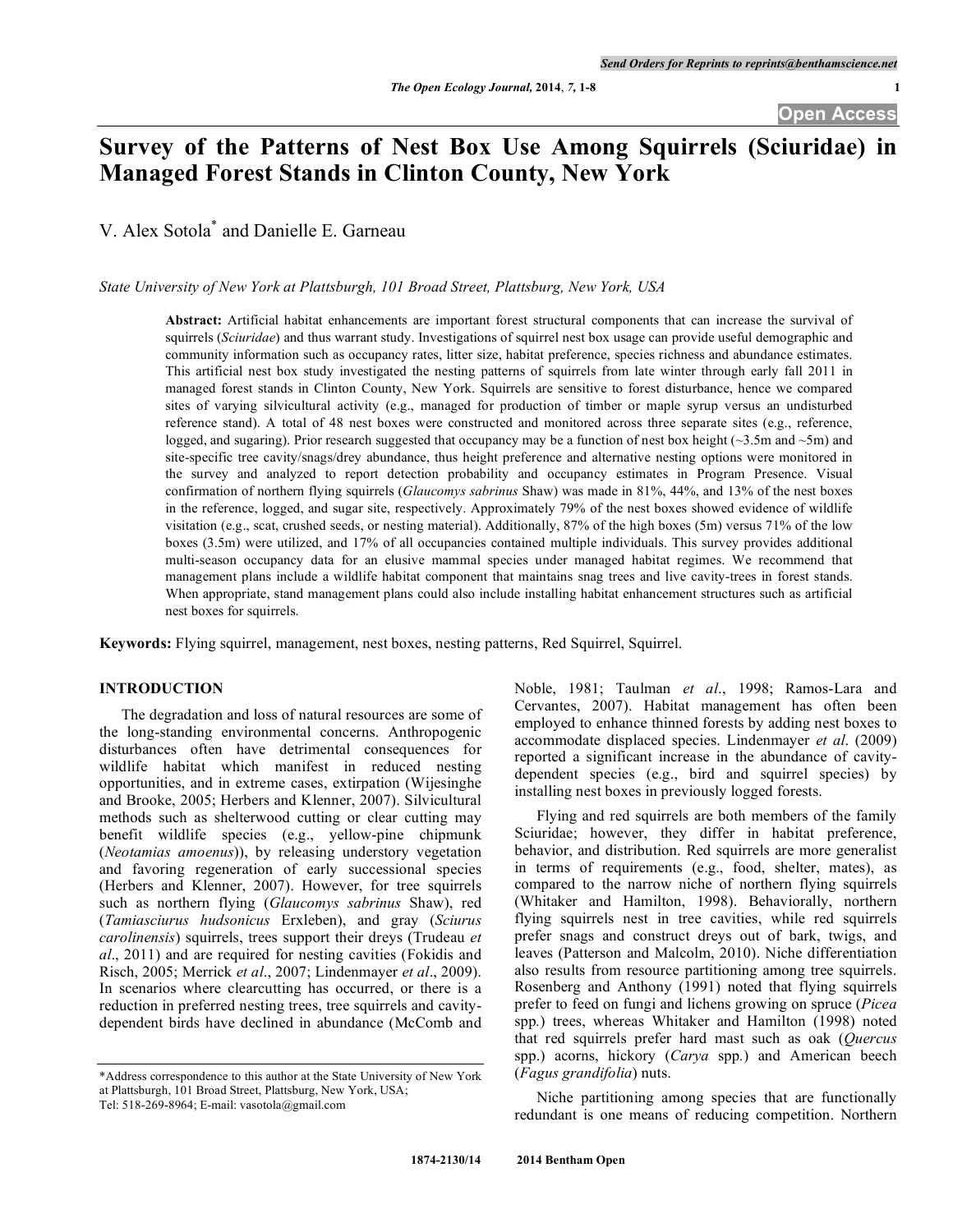# **Survey of the Patterns of Nest Box Use Among Squirrels (Sciuridae) in Managed Forest Stands in Clinton County, New York**

V. Alex Sotola \* and Danielle E. Garneau

*State University of New York at Plattsburgh, 101 Broad Street, Plattsburg, New York, USA*

**Abstract:** Artificial habitat enhancements are important forest structural components that can increase the survival of squirrels (*Sciuridae*) and thus warrant study. Investigations of squirrel nest box usage can provide useful demographic and community information such as occupancy rates, litter size, habitat preference, species richness and abundance estimates. This artificial nest box study investigated the nesting patterns of squirrels from late winter through early fall 2011 in managed forest stands in Clinton County, New York. Squirrels are sensitive to forest disturbance, hence we compared sites of varying silvicultural activity (e.g., managed for production of timber or maple syrup versus an undisturbed reference stand). A total of 48 nest boxes were constructed and monitored across three separate sites (e.g., reference, logged, and sugaring). Prior research suggested that occupancy may be a function of nest box height ( $\sim$ 3.5m and  $\sim$ 5m) and site-specific tree cavity/snags/drey abundance, thus height preference and alternative nesting options were monitored in the survey and analyzed to report detection probability and occupancy estimates in Program Presence. Visual confirmation of northern flying squirrels (*Glaucomys sabrinus* Shaw) was made in 81%, 44%, and 13% of the nest boxes in the reference, logged, and sugar site, respectively. Approximately 79% of the nest boxes showed evidence of wildlife visitation (e.g., scat, crushed seeds, or nesting material). Additionally, 87% of the high boxes (5m) versus 71% of the low boxes (3.5m) were utilized, and 17% of all occupancies contained multiple individuals. This survey provides additional multi-season occupancy data for an elusive mammal species under managed habitat regimes. We recommend that management plans include a wildlife habitat component that maintains snag trees and live cavity-trees in forest stands. When appropriate, stand management plans could also include installing habitat enhancement structures such as artificial nest boxes for squirrels.

**Keywords:** Flying squirrel, management, nest boxes, nesting patterns, Red Squirrel, Squirrel.

# **INTRODUCTION**

The degradation and loss of natural resources are some of the long-standing environmental concerns. Anthropogenic disturbances often have detrimental consequences for wildlife habitat which manifest in reduced nesting opportunities, and in extreme cases, extirpation (Wijesinghe and Brooke, 2005; Herbers and Klenner, 2007). Silvicultural methods such as shelterwood cutting or clear cutting may benefit wildlife species (e.g., yellow-pine chipmunk (*Neotamias amoenus*)), by releasing understory vegetation and favoring regeneration of early successional species (Herbers and Klenner, 2007). However, for tree squirrels such as northern flying (*Glaucomys sabrinus* Shaw), red (*Tamiasciurus hudsonicus* Erxleben), and gray (*Sciurus carolinensis*) squirrels, trees support their dreys (Trudeau *et al*., 2011) and are required for nesting cavities (Fokidis and Risch, 2005; Merrick *et al*., 2007; Lindenmayer *et al*., 2009). In scenarios where clearcutting has occurred, or there is a reduction in preferred nesting trees, tree squirrels and cavitydependent birds have declined in abundance (McComb and

\*Address correspondence to this author at the State University of New York at Plattsburgh, 101 Broad Street, Plattsburg, New York, USA;

Noble, 1981; Taulman *et al*., 1998; Ramos-Lara and Cervantes, 2007). Habitat management has often been employed to enhance thinned forests by adding nest boxes to accommodate displaced species. Lindenmayer *et al*. (2009) reported a significant increase in the abundance of cavitydependent species (e.g., bird and squirrel species) by installing nest boxes in previously logged forests.

Flying and red squirrels are both members of the family Sciuridae; however, they differ in habitat preference, behavior, and distribution. Red squirrels are more generalist in terms of requirements (e.g., food, shelter, mates), as compared to the narrow niche of northern flying squirrels (Whitaker and Hamilton, 1998). Behaviorally, northern flying squirrels nest in tree cavities, while red squirrels prefer snags and construct dreys out of bark, twigs, and leaves (Patterson and Malcolm, 2010). Niche differentiation also results from resource partitioning among tree squirrels. Rosenberg and Anthony (1991) noted that flying squirrels prefer to feed on fungi and lichens growing on spruce (*Picea* spp*.*) trees, whereas Whitaker and Hamilton (1998) noted that red squirrels prefer hard mast such as oak (*Quercus* spp.) acorns, hickory (*Carya* spp*.*) and American beech (*Fagus grandifolia*) nuts.

Niche partitioning among species that are functionally redundant is one means of reducing competition. Northern

Tel: 518-269-8964; E-mail: vasotola@gmail.com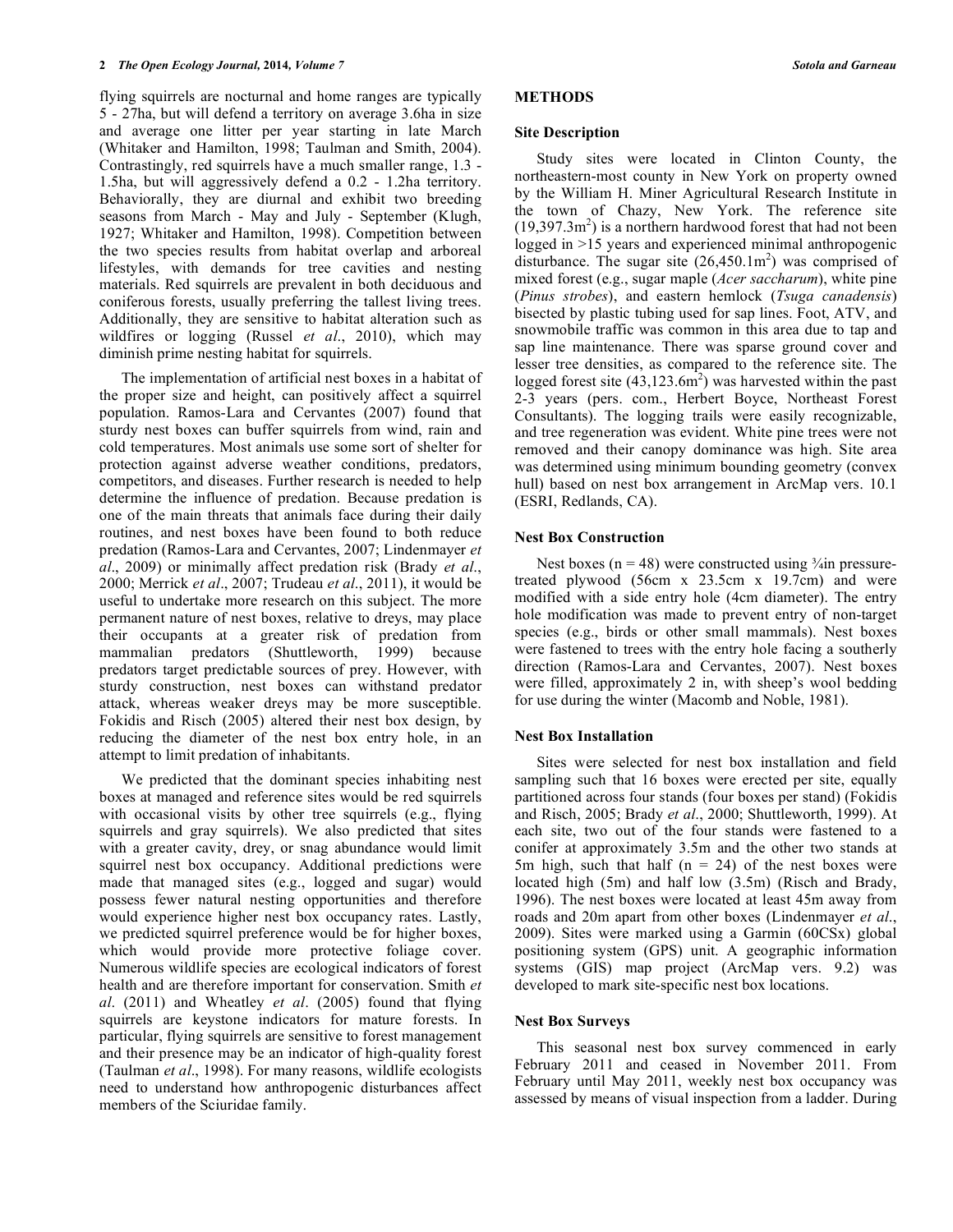flying squirrels are nocturnal and home ranges are typically 5 - 27ha, but will defend a territory on average 3.6ha in size and average one litter per year starting in late March (Whitaker and Hamilton, 1998; Taulman and Smith, 2004). Contrastingly, red squirrels have a much smaller range, 1.3 - 1.5ha, but will aggressively defend a 0.2 - 1.2ha territory. Behaviorally, they are diurnal and exhibit two breeding seasons from March - May and July - September (Klugh, 1927; Whitaker and Hamilton, 1998). Competition between the two species results from habitat overlap and arboreal lifestyles, with demands for tree cavities and nesting materials. Red squirrels are prevalent in both deciduous and coniferous forests, usually preferring the tallest living trees. Additionally, they are sensitive to habitat alteration such as wildfires or logging (Russel *et al*., 2010), which may diminish prime nesting habitat for squirrels.

The implementation of artificial nest boxes in a habitat of the proper size and height, can positively affect a squirrel population. Ramos-Lara and Cervantes (2007) found that sturdy nest boxes can buffer squirrels from wind, rain and cold temperatures. Most animals use some sort of shelter for protection against adverse weather conditions, predators, competitors, and diseases. Further research is needed to help determine the influence of predation. Because predation is one of the main threats that animals face during their daily routines, and nest boxes have been found to both reduce predation (Ramos-Lara and Cervantes, 2007; Lindenmayer *et al*., 2009) or minimally affect predation risk (Brady *et al*., 2000; Merrick *et al*., 2007; Trudeau *et al*., 2011), it would be useful to undertake more research on this subject. The more permanent nature of nest boxes, relative to dreys, may place their occupants at a greater risk of predation from mammalian predators (Shuttleworth, 1999) because predators target predictable sources of prey. However, with sturdy construction, nest boxes can withstand predator attack, whereas weaker dreys may be more susceptible. Fokidis and Risch (2005) altered their nest box design, by reducing the diameter of the nest box entry hole, in an attempt to limit predation of inhabitants.

We predicted that the dominant species inhabiting nest boxes at managed and reference sites would be red squirrels with occasional visits by other tree squirrels (e.g., flying squirrels and gray squirrels). We also predicted that sites with a greater cavity, drey, or snag abundance would limit squirrel nest box occupancy. Additional predictions were made that managed sites (e.g., logged and sugar) would possess fewer natural nesting opportunities and therefore would experience higher nest box occupancy rates. Lastly, we predicted squirrel preference would be for higher boxes, which would provide more protective foliage cover. Numerous wildlife species are ecological indicators of forest health and are therefore important for conservation. Smith *et al*. (2011) and Wheatley *et al*. (2005) found that flying squirrels are keystone indicators for mature forests. In particular, flying squirrels are sensitive to forest management and their presence may be an indicator of high-quality forest (Taulman *et al*., 1998). For many reasons, wildlife ecologists need to understand how anthropogenic disturbances affect members of the Sciuridae family.

#### **METHODS**

#### **Site Description**

Study sites were located in Clinton County, the northeastern-most county in New York on property owned by the William H. Miner Agricultural Research Institute in the town of Chazy, New York. The reference site  $(19,397.3\text{m}^2)$  is a northern hardwood forest that had not been logged in >15 years and experienced minimal anthropogenic disturbance. The sugar site  $(26,450.1\text{m}^2)$  was comprised of mixed forest (e.g., sugar maple (*Acer saccharum*), white pine (*Pinus strobes*), and eastern hemlock (*Tsuga canadensis*) bisected by plastic tubing used for sap lines. Foot, ATV, and snowmobile traffic was common in this area due to tap and sap line maintenance. There was sparse ground cover and lesser tree densities, as compared to the reference site. The logged forest site  $(43,123.6m^2)$  was harvested within the past 2-3 years (pers. com., Herbert Boyce, Northeast Forest Consultants). The logging trails were easily recognizable, and tree regeneration was evident. White pine trees were not removed and their canopy dominance was high. Site area was determined using minimum bounding geometry (convex hull) based on nest box arrangement in ArcMap vers. 10.1 (ESRI, Redlands, CA).

## **Nest Box Construction**

Nest boxes ( $n = 48$ ) were constructed using  $\frac{3}{4}$ in pressuretreated plywood (56cm x 23.5cm x 19.7cm) and were modified with a side entry hole (4cm diameter). The entry hole modification was made to prevent entry of non-target species (e.g., birds or other small mammals). Nest boxes were fastened to trees with the entry hole facing a southerly direction (Ramos-Lara and Cervantes, 2007). Nest boxes were filled, approximately 2 in, with sheep's wool bedding for use during the winter (Macomb and Noble, 1981).

## **Nest Box Installation**

Sites were selected for nest box installation and field sampling such that 16 boxes were erected per site, equally partitioned across four stands (four boxes per stand) (Fokidis and Risch, 2005; Brady *et al*., 2000; Shuttleworth, 1999). At each site, two out of the four stands were fastened to a conifer at approximately 3.5m and the other two stands at 5m high, such that half  $(n = 24)$  of the nest boxes were located high (5m) and half low (3.5m) (Risch and Brady, 1996). The nest boxes were located at least 45m away from roads and 20m apart from other boxes (Lindenmayer *et al*., 2009). Sites were marked using a Garmin (60CSx) global positioning system (GPS) unit. A geographic information systems (GIS) map project (ArcMap vers. 9.2) was developed to mark site-specific nest box locations.

#### **Nest Box Surveys**

This seasonal nest box survey commenced in early February 2011 and ceased in November 2011. From February until May 2011, weekly nest box occupancy was assessed by means of visual inspection from a ladder. During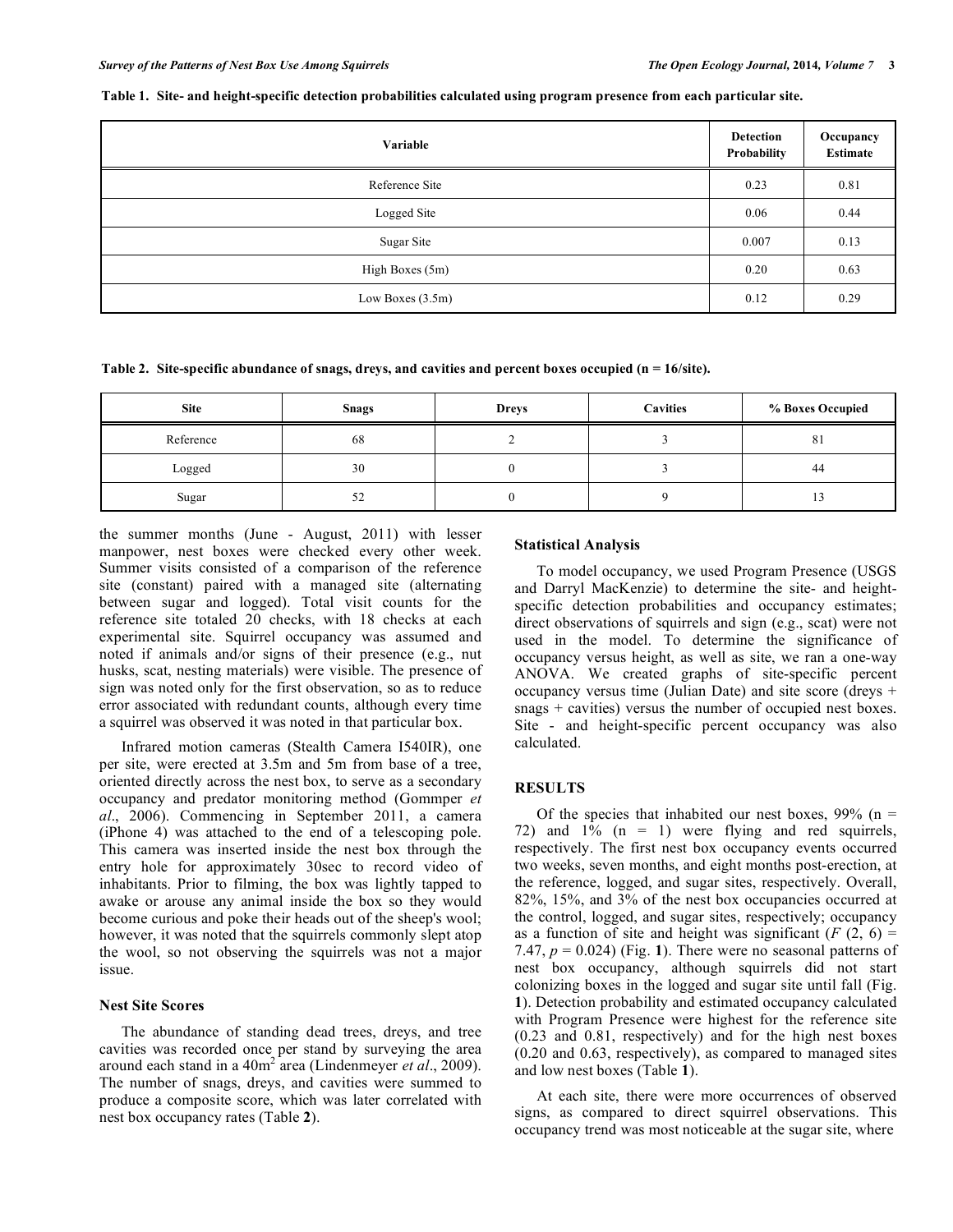| Variable           |      | Occupancy<br>Estimate |
|--------------------|------|-----------------------|
| Reference Site     | 0.23 | 0.81                  |
| Logged Site        |      | 0.44                  |
| Sugar Site         |      | 0.13                  |
| High Boxes (5m)    |      | 0.63                  |
| Low Boxes $(3.5m)$ | 0.12 | 0.29                  |

**Table 1. Site- and height-specific detection probabilities calculated using program presence from each particular site.**

**Table 2. Site-specific abundance of snags, dreys, and cavities and percent boxes occupied (n = 16/site).**

| <b>Site</b> | <b>Snags</b> | <b>Dreys</b> | <b>Cavities</b> | % Boxes Occupied |
|-------------|--------------|--------------|-----------------|------------------|
| Reference   | 68           |              |                 | 81               |
| Logged      | 30           |              |                 | 44               |
| Sugar       | 52           |              |                 |                  |

the summer months (June - August, 2011) with lesser manpower, nest boxes were checked every other week. Summer visits consisted of a comparison of the reference site (constant) paired with a managed site (alternating between sugar and logged). Total visit counts for the reference site totaled 20 checks, with 18 checks at each experimental site. Squirrel occupancy was assumed and noted if animals and/or signs of their presence (e.g., nut husks, scat, nesting materials) were visible. The presence of sign was noted only for the first observation, so as to reduce error associated with redundant counts, although every time a squirrel was observed it was noted in that particular box.

Infrared motion cameras (Stealth Camera I540IR), one per site, were erected at 3.5m and 5m from base of a tree, oriented directly across the nest box, to serve as a secondary occupancy and predator monitoring method (Gommper *et al*., 2006). Commencing in September 2011, a camera (iPhone 4) was attached to the end of a telescoping pole. This camera was inserted inside the nest box through the entry hole for approximately 30sec to record video of inhabitants. Prior to filming, the box was lightly tapped to awake or arouse any animal inside the box so they would become curious and poke their heads out of the sheep's wool; however, it was noted that the squirrels commonly slept atop the wool, so not observing the squirrels was not a major issue.

#### **Nest Site Scores**

The abundance of standing dead trees, dreys, and tree cavities was recorded once per stand by surveying the area around each stand in a 40m<sup>2</sup> area (Lindenmeyer *et al*., 2009). The number of snags, dreys, and cavities were summed to produce a composite score, which was later correlated with nest box occupancy rates (Table **2**).

## **Statistical Analysis**

To model occupancy, we used Program Presence (USGS and Darryl MacKenzie) to determine the site- and heightspecific detection probabilities and occupancy estimates; direct observations of squirrels and sign (e.g., scat) were not used in the model. To determine the significance of occupancy versus height, as well as site, we ran a one-way ANOVA. We created graphs of site-specific percent occupancy versus time (Julian Date) and site score (dreys + snags + cavities) versus the number of occupied nest boxes. Site - and height-specific percent occupancy was also calculated.

#### **RESULTS**

Of the species that inhabited our nest boxes,  $99\%$  (n = 72) and 1% (n = 1) were flying and red squirrels, respectively. The first nest box occupancy events occurred two weeks, seven months, and eight months post-erection, at the reference, logged, and sugar sites, respectively. Overall, 82%, 15%, and 3% of the nest box occupancies occurred at the control, logged, and sugar sites, respectively; occupancy as a function of site and height was significant  $(F(2, 6))$ 7.47,  $p = 0.024$ ) (Fig. 1). There were no seasonal patterns of nest box occupancy, although squirrels did not start colonizing boxes in the logged and sugar site until fall (Fig. **1**). Detection probability and estimated occupancy calculated with Program Presence were highest for the reference site (0.23 and 0.81, respectively) and for the high nest boxes (0.20 and 0.63, respectively), as compared to managed sites and low nest boxes (Table **1**).

At each site, there were more occurrences of observed signs, as compared to direct squirrel observations. This occupancy trend was most noticeable at the sugar site, where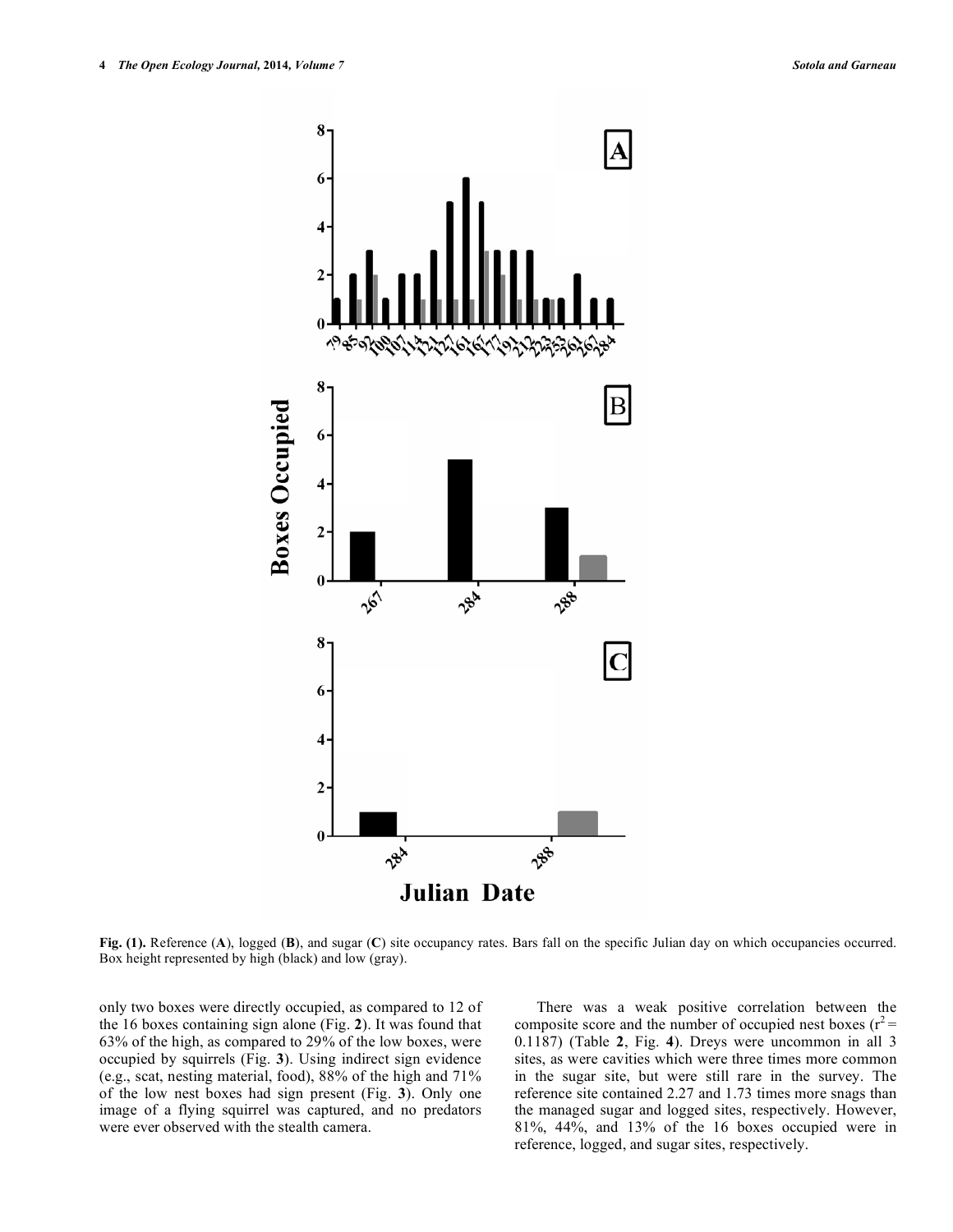

**Fig. (1).** Reference (**A**), logged (**B**), and sugar (**C**) site occupancy rates. Bars fall on the specific Julian day on which occupancies occurred. Box height represented by high (black) and low (gray).

only two boxes were directly occupied, as compared to 12 of the 16 boxes containing sign alone (Fig. **2**). It was found that 63% of the high, as compared to 29% of the low boxes, were occupied by squirrels (Fig. **3**). Using indirect sign evidence (e.g., scat, nesting material, food), 88% of the high and 71% of the low nest boxes had sign present (Fig. **3**). Only one image of a flying squirrel was captured, and no predators were ever observed with the stealth camera.

There was a weak positive correlation between the composite score and the number of occupied nest boxes ( $r^2$  = 0.1187) (Table **2**, Fig. **4**). Dreys were uncommon in all 3 sites, as were cavities which were three times more common in the sugar site, but were still rare in the survey. The reference site contained 2.27 and 1.73 times more snags than the managed sugar and logged sites, respectively. However, 81%, 44%, and 13% of the 16 boxes occupied were in reference, logged, and sugar sites, respectively.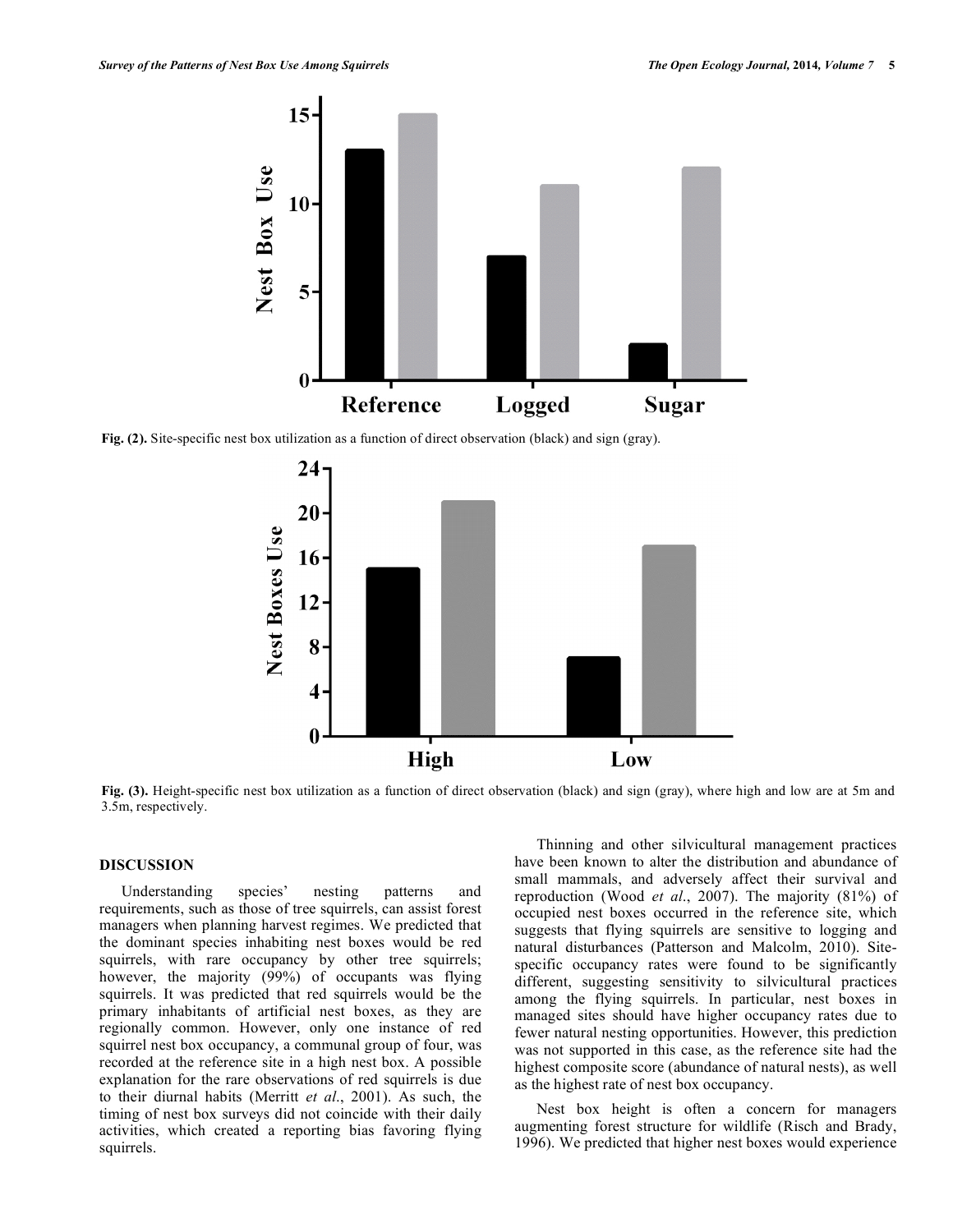

**Fig. (2).** Site-specific nest box utilization as a function of direct observation (black) and sign (gray).



**Fig. (3).** Height-specific nest box utilization as a function of direct observation (black) and sign (gray), where high and low are at 5m and 3.5m, respectively.

# **DISCUSSION**

Understanding species' nesting patterns and requirements, such as those of tree squirrels, can assist forest managers when planning harvest regimes. We predicted that the dominant species inhabiting nest boxes would be red squirrels, with rare occupancy by other tree squirrels; however, the majority (99%) of occupants was flying squirrels. It was predicted that red squirrels would be the primary inhabitants of artificial nest boxes, as they are regionally common. However, only one instance of red squirrel nest box occupancy, a communal group of four, was recorded at the reference site in a high nest box. A possible explanation for the rare observations of red squirrels is due to their diurnal habits (Merritt *et al*., 2001). As such, the timing of nest box surveys did not coincide with their daily activities, which created a reporting bias favoring flying squirrels.

Thinning and other silvicultural management practices have been known to alter the distribution and abundance of small mammals, and adversely affect their survival and reproduction (Wood *et al*., 2007). The majority (81%) of occupied nest boxes occurred in the reference site, which suggests that flying squirrels are sensitive to logging and natural disturbances (Patterson and Malcolm, 2010). Sitespecific occupancy rates were found to be significantly different, suggesting sensitivity to silvicultural practices among the flying squirrels. In particular, nest boxes in managed sites should have higher occupancy rates due to fewer natural nesting opportunities. However, this prediction was not supported in this case, as the reference site had the highest composite score (abundance of natural nests), as well as the highest rate of nest box occupancy.

Nest box height is often a concern for managers augmenting forest structure for wildlife (Risch and Brady, 1996). We predicted that higher nest boxes would experience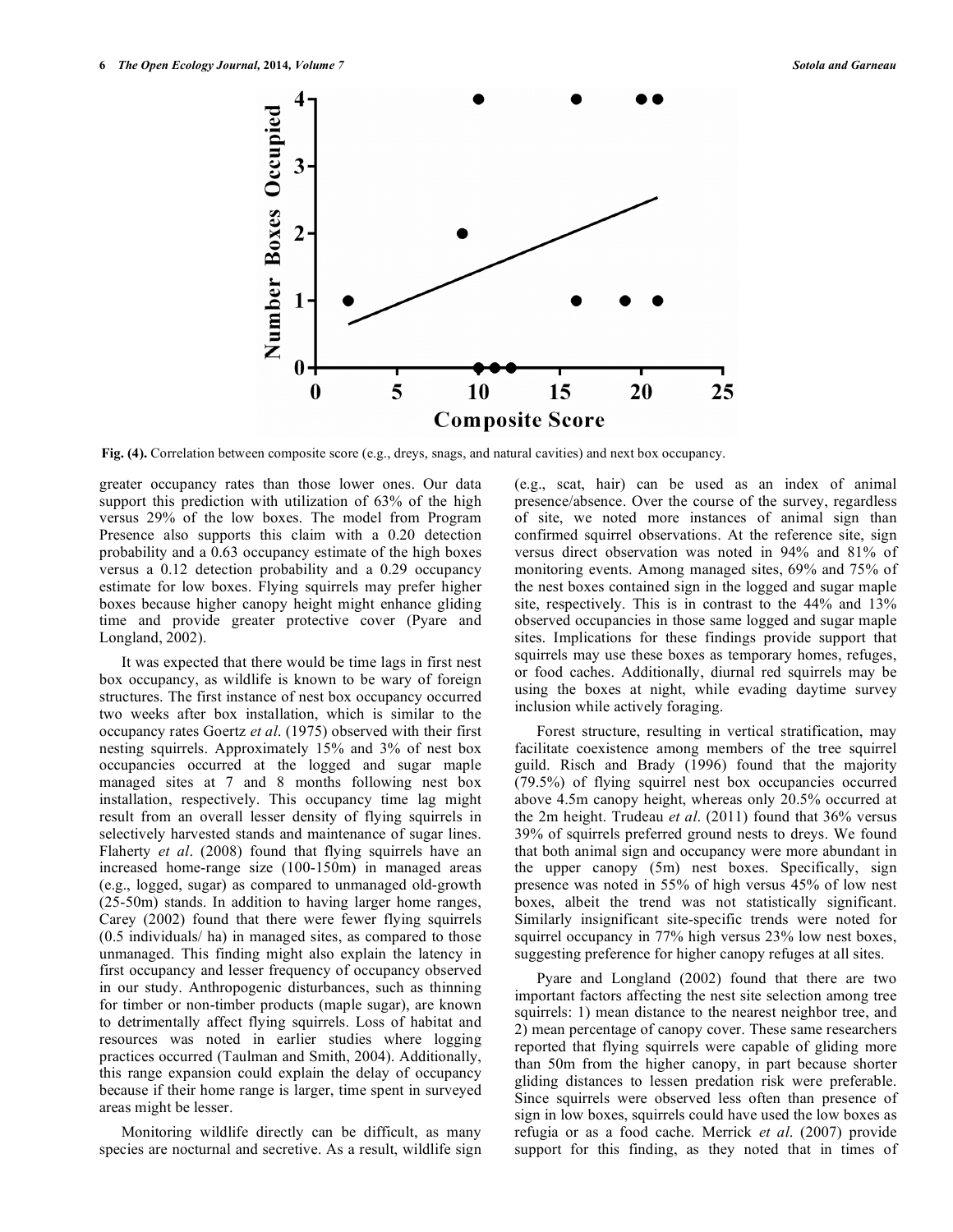

**Fig. (4).** Correlation between composite score (e.g., dreys, snags, and natural cavities) and next box occupancy.

greater occupancy rates than those lower ones. Our data support this prediction with utilization of 63% of the high versus 29% of the low boxes. The model from Program Presence also supports this claim with a 0.20 detection probability and a 0.63 occupancy estimate of the high boxes versus a 0.12 detection probability and a 0.29 occupancy estimate for low boxes. Flying squirrels may prefer higher boxes because higher canopy height might enhance gliding time and provide greater protective cover (Pyare and Longland, 2002).

It was expected that there would be time lags in first nest box occupancy, as wildlife is known to be wary of foreign structures. The first instance of nest box occupancy occurred two weeks after box installation, which is similar to the occupancy rates Goertz *et al*. (1975) observed with their first nesting squirrels. Approximately 15% and 3% of nest box occupancies occurred at the logged and sugar maple managed sites at 7 and 8 months following nest box installation, respectively. This occupancy time lag might result from an overall lesser density of flying squirrels in selectively harvested stands and maintenance of sugar lines. Flaherty *et al*. (2008) found that flying squirrels have an increased home-range size (100-150m) in managed areas (e.g., logged, sugar) as compared to unmanaged old-growth (25-50m) stands. In addition to having larger home ranges, Carey (2002) found that there were fewer flying squirrels (0.5 individuals/ ha) in managed sites, as compared to those unmanaged. This finding might also explain the latency in first occupancy and lesser frequency of occupancy observed in our study. Anthropogenic disturbances, such as thinning for timber or non-timber products (maple sugar), are known to detrimentally affect flying squirrels. Loss of habitat and resources was noted in earlier studies where logging practices occurred (Taulman and Smith, 2004). Additionally, this range expansion could explain the delay of occupancy because if their home range is larger, time spent in surveyed areas might be lesser.

Monitoring wildlife directly can be difficult, as many species are nocturnal and secretive. As a result, wildlife sign (e.g., scat, hair) can be used as an index of animal presence/absence. Over the course of the survey, regardless of site, we noted more instances of animal sign than confirmed squirrel observations. At the reference site, sign versus direct observation was noted in 94% and 81% of monitoring events. Among managed sites, 69% and 75% of the nest boxes contained sign in the logged and sugar maple site, respectively. This is in contrast to the 44% and 13% observed occupancies in those same logged and sugar maple sites. Implications for these findings provide support that squirrels may use these boxes as temporary homes, refuges, or food caches. Additionally, diurnal red squirrels may be using the boxes at night, while evading daytime survey inclusion while actively foraging.

Forest structure, resulting in vertical stratification, may facilitate coexistence among members of the tree squirrel guild. Risch and Brady (1996) found that the majority (79.5%) of flying squirrel nest box occupancies occurred above 4.5m canopy height, whereas only 20.5% occurred at the 2m height. Trudeau *et al*. (2011) found that 36% versus 39% of squirrels preferred ground nests to dreys. We found that both animal sign and occupancy were more abundant in the upper canopy (5m) nest boxes. Specifically, sign presence was noted in 55% of high versus 45% of low nest boxes, albeit the trend was not statistically significant. Similarly insignificant site-specific trends were noted for squirrel occupancy in 77% high versus 23% low nest boxes, suggesting preference for higher canopy refuges at all sites.

Pyare and Longland (2002) found that there are two important factors affecting the nest site selection among tree squirrels: 1) mean distance to the nearest neighbor tree, and 2) mean percentage of canopy cover. These same researchers reported that flying squirrels were capable of gliding more than 50m from the higher canopy, in part because shorter gliding distances to lessen predation risk were preferable. Since squirrels were observed less often than presence of sign in low boxes, squirrels could have used the low boxes as refugia or as a food cache. Merrick *et al*. (2007) provide support for this finding, as they noted that in times of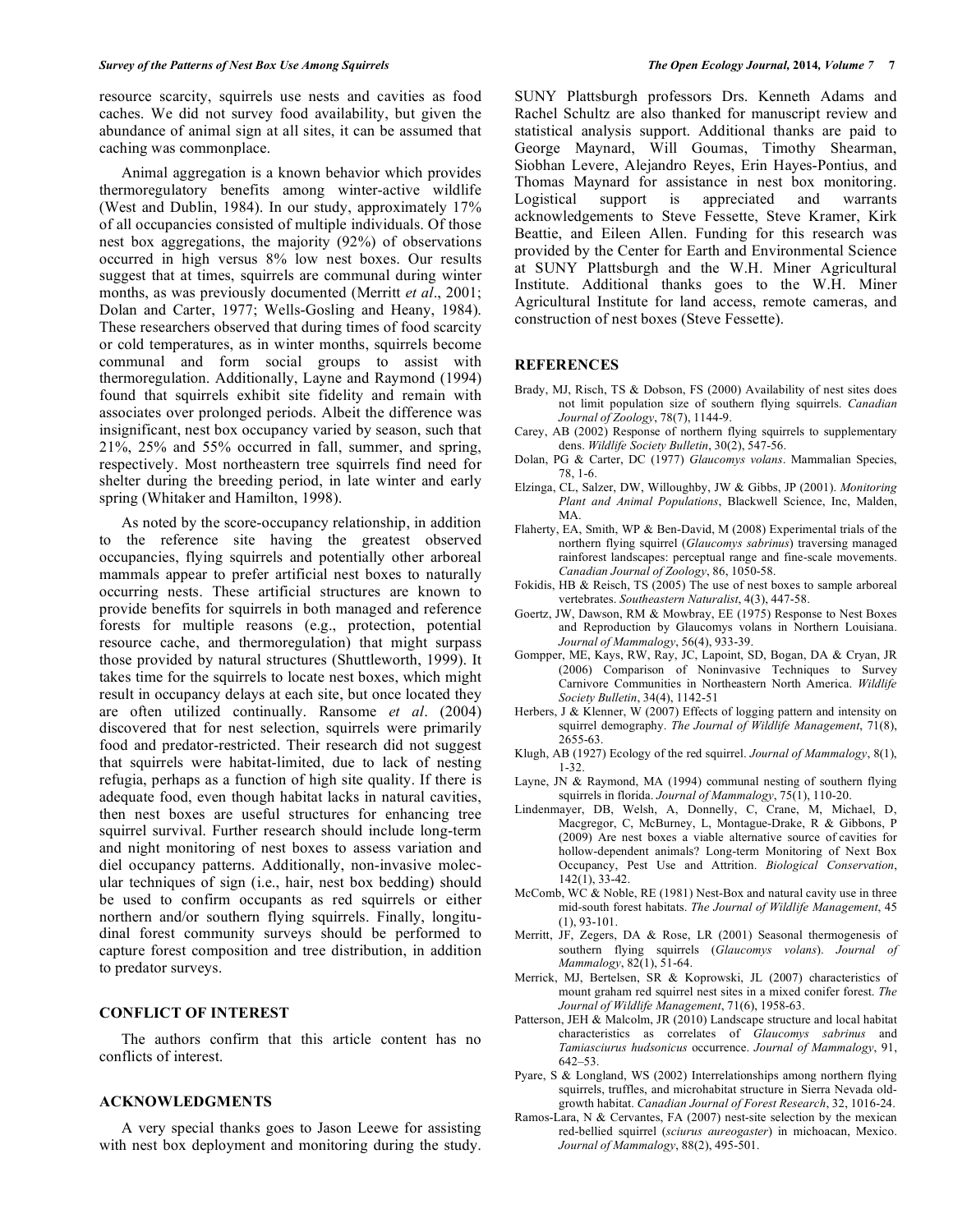resource scarcity, squirrels use nests and cavities as food caches. We did not survey food availability, but given the abundance of animal sign at all sites, it can be assumed that caching was commonplace.

Animal aggregation is a known behavior which provides thermoregulatory benefits among winter-active wildlife (West and Dublin, 1984). In our study, approximately 17% of all occupancies consisted of multiple individuals. Of those nest box aggregations, the majority (92%) of observations occurred in high versus 8% low nest boxes. Our results suggest that at times, squirrels are communal during winter months, as was previously documented (Merritt *et al*., 2001; Dolan and Carter, 1977; Wells-Gosling and Heany, 1984). These researchers observed that during times of food scarcity or cold temperatures, as in winter months, squirrels become communal and form social groups to assist with thermoregulation. Additionally, Layne and Raymond (1994) found that squirrels exhibit site fidelity and remain with associates over prolonged periods. Albeit the difference was insignificant, nest box occupancy varied by season, such that 21%, 25% and 55% occurred in fall, summer, and spring, respectively. Most northeastern tree squirrels find need for shelter during the breeding period, in late winter and early spring (Whitaker and Hamilton, 1998).

As noted by the score-occupancy relationship, in addition to the reference site having the greatest observed occupancies, flying squirrels and potentially other arboreal mammals appear to prefer artificial nest boxes to naturally occurring nests. These artificial structures are known to provide benefits for squirrels in both managed and reference forests for multiple reasons (e.g., protection, potential resource cache, and thermoregulation) that might surpass those provided by natural structures (Shuttleworth, 1999). It takes time for the squirrels to locate nest boxes, which might result in occupancy delays at each site, but once located they are often utilized continually. Ransome *et al*. (2004) discovered that for nest selection, squirrels were primarily food and predator-restricted. Their research did not suggest that squirrels were habitat-limited, due to lack of nesting refugia, perhaps as a function of high site quality. If there is adequate food, even though habitat lacks in natural cavities, then nest boxes are useful structures for enhancing tree squirrel survival. Further research should include long-term and night monitoring of nest boxes to assess variation and diel occupancy patterns. Additionally, non-invasive molecular techniques of sign (i.e., hair, nest box bedding) should be used to confirm occupants as red squirrels or either northern and/or southern flying squirrels. Finally, longitudinal forest community surveys should be performed to capture forest composition and tree distribution, in addition to predator surveys.

## **CONFLICT OF INTEREST**

The authors confirm that this article content has no conflicts of interest.

# **ACKNOWLEDGMENTS**

A very special thanks goes to Jason Leewe for assisting with nest box deployment and monitoring during the study. SUNY Plattsburgh professors Drs. Kenneth Adams and Rachel Schultz are also thanked for manuscript review and statistical analysis support. Additional thanks are paid to George Maynard, Will Goumas, Timothy Shearman, Siobhan Levere, Alejandro Reyes, Erin Hayes-Pontius, and Thomas Maynard for assistance in nest box monitoring. Logistical support is appreciated and warrants acknowledgements to Steve Fessette, Steve Kramer, Kirk Beattie, and Eileen Allen. Funding for this research was provided by the Center for Earth and Environmental Science at SUNY Plattsburgh and the W.H. Miner Agricultural Institute. Additional thanks goes to the W.H. Miner Agricultural Institute for land access, remote cameras, and construction of nest boxes (Steve Fessette).

## **REFERENCES**

- Brady, MJ, Risch, TS & Dobson, FS (2000) Availability of nest sites does not limit population size of southern flying squirrels. *Canadian Journal of Zoology*, 78(7), 1144-9.
- Carey, AB (2002) Response of northern flying squirrels to supplementary dens. *Wildlife Society Bulletin*, 30(2), 547-56.
- Dolan, PG & Carter, DC (1977) *Glaucomys volans*. Mammalian Species, 78, 1-6.
- Elzinga, CL, Salzer, DW, Willoughby, JW & Gibbs, JP (2001). *Monitoring Plant and Animal Populations*, Blackwell Science, Inc, Malden, MA.
- Flaherty, EA, Smith, WP & Ben-David, M (2008) Experimental trials of the northern flying squirrel (*Glaucomys sabrinus*) traversing managed rainforest landscapes: perceptual range and fine-scale movements. *Canadian Journal of Zoology*, 86, 1050-58.
- Fokidis, HB & Reisch, TS (2005) The use of nest boxes to sample arboreal vertebrates. *Southeastern Naturalist*, 4(3), 447-58.
- Goertz, JW, Dawson, RM & Mowbray, EE (1975) Response to Nest Boxes and Reproduction by Glaucomys volans in Northern Louisiana. *Journal of Mammalogy*, 56(4), 933-39.
- Gompper, ME, Kays, RW, Ray, JC, Lapoint, SD, Bogan, DA & Cryan, JR (2006) Comparison of Noninvasive Techniques to Survey Carnivore Communities in Northeastern North America. *Wildlife Society Bulletin*, 34(4), 1142-51
- Herbers, J & Klenner, W (2007) Effects of logging pattern and intensity on squirrel demography. *The Journal of Wildlife Management*, 71(8), 2655-63.
- Klugh, AB (1927) Ecology of the red squirrel. *Journal of Mammalogy*, 8(1), 1-32.
- Layne, JN & Raymond, MA (1994) communal nesting of southern flying squirrels in florida. *Journal of Mammalogy*, 75(1), 110-20.
- Lindenmayer, DB, Welsh, A, Donnelly, C, Crane, M, Michael, D, Macgregor, C, McBurney, L, Montague-Drake, R & Gibbons, P (2009) Are nest boxes a viable alternative source of cavities for hollow-dependent animals? Long-term Monitoring of Next Box Occupancy, Pest Use and Attrition. *Biological Conservation*,  $142(1)$ , 33-42.
- McComb, WC & Noble, RE (1981) Nest-Box and natural cavity use in three mid-south forest habitats. *The Journal of Wildlife Management*, 45 (1), 93-101.
- Merritt, JF, Zegers, DA & Rose, LR (2001) Seasonal thermogenesis of southern flying squirrels (*Glaucomys volans*). *Journal of Mammalogy*, 82(1), 51-64.
- Merrick, MJ, Bertelsen, SR & Koprowski, JL (2007) characteristics of mount graham red squirrel nest sites in a mixed conifer forest. *The Journal of Wildlife Management*, 71(6), 1958-63.
- Patterson, JEH & Malcolm, JR (2010) Landscape structure and local habitat characteristics as correlates of *Glaucomys sabrinus* and *Tamiasciurus hudsonicus* occurrence. *Journal of Mammalogy*, 91, 642–53.
- Pyare, S & Longland, WS (2002) Interrelationships among northern flying squirrels, truffles, and microhabitat structure in Sierra Nevada oldgrowth habitat. *Canadian Journal of Forest Research*, 32, 1016-24.
- Ramos-Lara, N & Cervantes, FA (2007) nest-site selection by the mexican red-bellied squirrel (*sciurus aureogaster*) in michoacan, Mexico. *Journal of Mammalogy*, 88(2), 495-501.